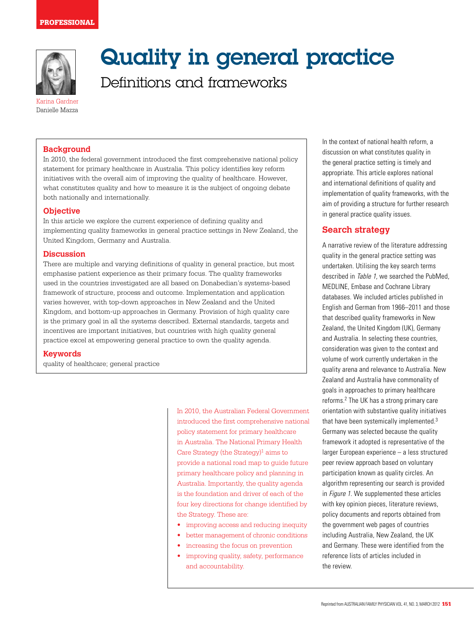

# Quality in general practice

Definitions and frameworks

Karina Gardner Danielle Mazza

#### **Background**

In 2010, the federal government introduced the first comprehensive national policy statement for primary healthcare in Australia. This policy identifies key reform initiatives with the overall aim of improving the quality of healthcare. However, what constitutes quality and how to measure it is the subject of ongoing debate both nationally and internationally.

#### **Objective**

In this article we explore the current experience of defining quality and implementing quality frameworks in general practice settings in New Zealand, the United Kingdom, Germany and Australia.

#### **Discussion**

There are multiple and varying definitions of quality in general practice, but most emphasise patient experience as their primary focus. The quality frameworks used in the countries investigated are all based on Donabedian's systems-based framework of structure, process and outcome. Implementation and application varies however, with top-down approaches in New Zealand and the United Kingdom, and bottom-up approaches in Germany. Provision of high quality care is the primary goal in all the systems described. External standards, targets and incentives are important initiatives, but countries with high quality general practice excel at empowering general practice to own the quality agenda.

#### **Keywords**

quality of healthcare; general practice

In 2010, the Australian Federal Government introduced the first comprehensive national policy statement for primary healthcare in Australia. The National Primary Health Care Strategy (the Strategy)<sup>1</sup> aims to provide a national road map to guide future primary healthcare policy and planning in Australia. Importantly, the quality agenda is the foundation and driver of each of the four key directions for change identified by the Strategy. These are:

- improving access and reducing inequity
- • better management of chronic conditions • increasing the focus on prevention
- improving quality, safety, performance and accountability.

In the context of national health reform, a discussion on what constitutes quality in the general practice setting is timely and appropriate. This article explores national and international definitions of quality and implementation of quality frameworks, with the aim of providing a structure for further research in general practice quality issues.

## **Search strategy**

A narrative review of the literature addressing quality in the general practice setting was undertaken. Utilising the key search terms described in Table 1, we searched the PubMed, MEDLINE, Embase and Cochrane Library databases. We included articles published in English and German from 1966–2011 and those that described quality frameworks in New Zealand, the United Kingdom (UK), Germany and Australia. In selecting these countries, consideration was given to the context and volume of work currently undertaken in the quality arena and relevance to Australia. New Zealand and Australia have commonality of goals in approaches to primary healthcare reforms.2 The UK has a strong primary care orientation with substantive quality initiatives that have been systemically implemented.<sup>3</sup> Germany was selected because the quality framework it adopted is representative of the larger European experience – a less structured peer review approach based on voluntary participation known as quality circles. An algorithm representing our search is provided in Figure 1. We supplemented these articles with key opinion pieces, literature reviews, policy documents and reports obtained from the government web pages of countries including Australia, New Zealand, the UK and Germany. These were identified from the reference lists of articles included in the review.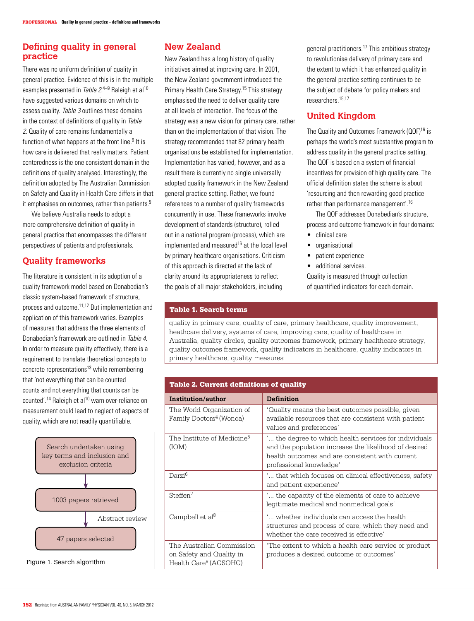## **Defining quality in general practice**

There was no uniform definition of quality in general practice. Evidence of this is in the multiple examples presented in *Table 2*.<sup>4–9</sup> Raleigh et al<sup>10</sup> have suggested various domains on which to assess quality. Table 3 outlines these domains in the context of definitions of quality in Table 2. Quality of care remains fundamentally a function of what happens at the front line.<sup>6</sup> It is how care is delivered that really matters. Patient centeredness is the one consistent domain in the definitions of quality analysed. Interestingly, the definition adopted by The Australian Commission on Safety and Quality in Health Care differs in that it emphasises on outcomes, rather than patients.<sup>9</sup>

We believe Australia needs to adopt a more comprehensive definition of quality in general practice that encompasses the different perspectives of patients and professionals.

## **Quality frameworks**

The literature is consistent in its adoption of a quality framework model based on Donabedian's classic system-based framework of structure, process and outcome.11,12 But implementation and application of this framework varies. Examples of measures that address the three elements of Donabedian's framework are outlined in Table 4. In order to measure quality effectively, there is a requirement to translate theoretical concepts to concrete representations13 while remembering that 'not everything that can be counted counts and not everything that counts can be counted'.<sup>14</sup> Raleigh et al<sup>10</sup> warn over-reliance on measurement could lead to neglect of aspects of quality, which are not readily quantifiable.



# **New Zealand**

New Zealand has a long history of quality initiatives aimed at improving care. In 2001, the New Zealand government introduced the Primary Health Care Strategy.<sup>15</sup> This strategy emphasised the need to deliver quality care at all levels of interaction. The focus of the strategy was a new vision for primary care, rather than on the implementation of that vision. The strategy recommended that 82 primary health organisations be established for implementation. Implementation has varied, however, and as a result there is currently no single universally adopted quality framework in the New Zealand general practice setting. Rather, we found references to a number of quality frameworks concurrently in use. These frameworks involve development of standards (structure), rolled out in a national program (process), which are implemented and measured<sup>16</sup> at the local level by primary healthcare organisations. Criticism of this approach is directed at the lack of clarity around its appropriateness to reflect the goals of all major stakeholders, including

general practitioners.17 This ambitious strategy to revolutionise delivery of primary care and the extent to which it has enhanced quality in the general practice setting continues to be the subject of debate for policy makers and researchers.15,17

# **United Kingdom**

The Quality and Outcomes Framework (QOF)<sup>16</sup> is perhaps the world's most substantive program to address quality in the general practice setting. The QOF is based on a system of financial incentives for provision of high quality care. The official definition states the scheme is about 'resourcing and then rewarding good practice rather than performance management'.16

The QOF addresses Donabedian's structure, process and outcome framework in four domains:

- • clinical care
- • organisational
- patient experience
- additional services.

Quality is measured through collection of quantified indicators for each domain.

#### Table 1. Search terms

quality in primary care, quality of care, primary healthcare, quality improvement, heathcare delivery, systems of care, improving care, quality of healthcare in Australia, quality circles, quality outcomes framework, primary healthcare strategy, quality outcomes framework, quality indicators in healthcare, quality indicators in primary healthcare, quality measures

| Institution/author                                                                         | <b>Definition</b>                                                                                                                                                                            |
|--------------------------------------------------------------------------------------------|----------------------------------------------------------------------------------------------------------------------------------------------------------------------------------------------|
| The World Organization of<br>Family Doctors <sup>4</sup> (Wonca)                           | Ouality means the best outcomes possible, given '<br>available resources that are consistent with patient<br>values and preferences'                                                         |
| The Institute of Medicine <sup>5</sup><br>(IOM)                                            | … the degree to which health services for individuals<br>and the population increase the likelihood of desired<br>health outcomes and are consistent with current<br>professional knowledge' |
| Darzi <sup>6</sup>                                                                         | … that which focuses on clinical effectiveness, safety<br>and patient experience'                                                                                                            |
| Steffen <sup>7</sup>                                                                       | the capacity of the elements of care to achieve.<br>legitimate medical and nonmedical goals'                                                                                                 |
| Campbell et al <sup>8</sup>                                                                | " whether individuals can access the health<br>structures and process of care, which they need and<br>whether the care received is effective'                                                |
| The Australian Commission<br>on Safety and Quality in<br>Health Care <sup>9</sup> (ACSQHC) | 'The extent to which a health care service or product<br>produces a desired outcome or outcomes'                                                                                             |

#### Table 2. Current definitions of quality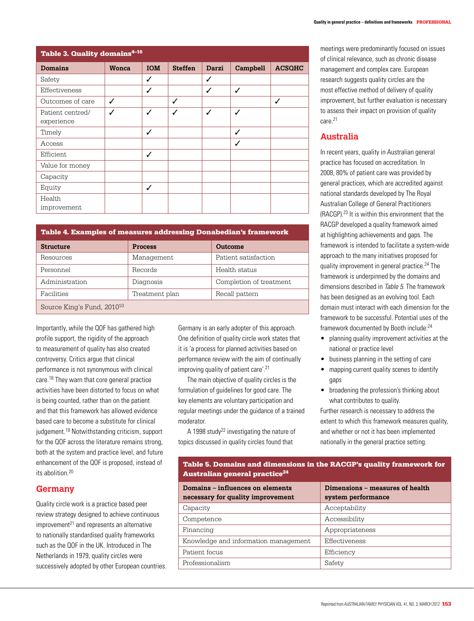| Table 3. Quality domains <sup>4-10</sup> |              |            |                |       |          |               |
|------------------------------------------|--------------|------------|----------------|-------|----------|---------------|
| <b>Domains</b>                           | <b>Wonca</b> | <b>IOM</b> | <b>Steffen</b> | Darzi | Campbell | <b>ACSOHC</b> |
| Safety                                   |              | J          |                | J     |          |               |
| Effectiveness                            |              | ✓          |                | ✓     | ✓        |               |
| Outcomes of care                         | ✓            |            | ✓              |       |          | ✓             |
| Patient centred/<br>experience           | ✓            | J          | $\checkmark$   | ✓     | ✓        |               |
| Timely                                   |              | ✓          |                |       | ✓        |               |
| Access                                   |              |            |                |       | ┙        |               |
| Efficient                                |              | ✓          |                |       |          |               |
| Value for money                          |              |            |                |       |          |               |
| Capacity                                 |              |            |                |       |          |               |
| Equity                                   |              | J          |                |       |          |               |
| Health<br>improvement                    |              |            |                |       |          |               |

#### Table 4. Examples of measures addressing Donabedian's framework

| <b>Structure</b>                       | <b>Process</b> | Outcome                 |
|----------------------------------------|----------------|-------------------------|
| Resources                              | Management     | Patient satisfaction    |
| Personnel                              | Records        | Health status           |
| Administration                         | Diagnosis      | Completion of treatment |
| Facilities                             | Treatment plan | Recall pattern          |
| Source King's Fund, 2010 <sup>10</sup> |                |                         |

Importantly, while the QOF has gathered high profile support, the rigidity of the approach to measurement of quality has also created controversy. Critics argue that clinical performance is not synonymous with clinical care.<sup>18</sup> They warn that core general practice activities have been distorted to focus on what is being counted, rather than on the patient and that this framework has allowed evidence based care to become a substitute for clinical judgement.19 Notwithstanding criticism, support for the QOF across the literature remains strong, both at the system and practice level, and future enhancement of the QOF is proposed, instead of its abolition.20

#### **Germany**

Quality circle work is a practice based peer review strategy designed to achieve continuous  $improvement<sup>21</sup>$  and represents an alternative to nationally standardised quality frameworks such as the QOF in the UK. Introduced in The Netherlands in 1979, quality circles were successively adopted by other European countries. Germany is an early adopter of this approach. One definition of quality circle work states that it is 'a process for planned activities based on performance review with the aim of continually improving quality of patient care'.21

The main objective of quality circles is the formulation of guidelines for good care. The key elements are voluntary participation and regular meetings under the guidance of a trained moderator.

A 1998 study<sup>22</sup> investigating the nature of topics discussed in quality circles found that

meetings were predominantly focused on issues of clinical relevance, such as chronic disease management and complex care. European research suggests quality circles are the most effective method of delivery of quality improvement, but further evaluation is necessary to assess their impact on provision of quality care.<sup>21</sup>

## **Australia**

In recent years, quality in Australian general practice has focused on accreditation. In 2008, 80% of patient care was provided by general practices, which are accredited against national standards developed by The Royal Australian College of General Practitioners (RACGP).23 It is within this environment that the RACGP developed a quality framework aimed at highlighting achievements and gaps. The framework is intended to facilitate a system-wide approach to the many initiatives proposed for quality improvement in general practice.24 The framework is underpinned by the domains and dimensions described in Table 5. The framework has been designed as an evolving tool. Each domain must interact with each dimension for the framework to be successful. Potential uses of the framework documented by Booth include:24

- planning quality improvement activities at the national or practice level
- business planning in the setting of care
- mapping current quality scenes to identify gaps
- broadening the profession's thinking about what contributes to quality.

Further research is necessary to address the extent to which this framework measures quality, and whether or not it has been implemented nationally in the general practice setting.

### Table 5. Domains and dimensions in the RACGP's quality framework for Australian general practice<sup>24</sup>

| Domains - influences on elements<br>necessary for quality improvement | Dimensions - measures of health<br>system performance |
|-----------------------------------------------------------------------|-------------------------------------------------------|
| Capacity                                                              | Acceptability                                         |
| Competence                                                            | Accessibility                                         |
| Financing                                                             | Appropriateness                                       |
| Knowledge and information management                                  | Effectiveness                                         |
| Patient focus                                                         | Efficiency                                            |
| Professionalism                                                       | Safety                                                |